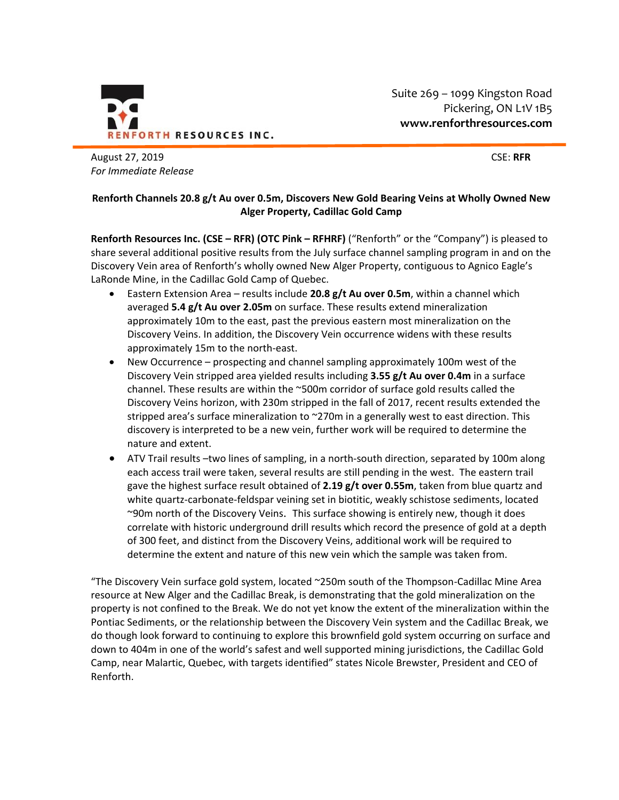

Suite 269 – 1099 Kingston Road Pickering, ON L1V 1B5 **www.renforthresources.com**

August 27, 2019 CSE: **RFR** *For Immediate Release*

## **Renforth Channels 20.8 g/t Au over 0.5m, Discovers New Gold Bearing Veins at Wholly Owned New Alger Property, Cadillac Gold Camp**

**Renforth Resources Inc. (CSE – RFR) (OTC Pink – RFHRF)** ("Renforth" or the "Company") is pleased to share several additional positive results from the July surface channel sampling program in and on the Discovery Vein area of Renforth's wholly owned New Alger Property, contiguous to Agnico Eagle's LaRonde Mine, in the Cadillac Gold Camp of Quebec.

- Eastern Extension Area results include **20.8 g/t Au over 0.5m**, within a channel which averaged **5.4 g/t Au over 2.05m** on surface. These results extend mineralization approximately 10m to the east, past the previous eastern most mineralization on the Discovery Veins. In addition, the Discovery Vein occurrence widens with these results approximately 15m to the north-east.
- New Occurrence prospecting and channel sampling approximately 100m west of the Discovery Vein stripped area yielded results including **3.55 g/t Au over 0.4m** in a surface channel. These results are within the ~500m corridor of surface gold results called the Discovery Veins horizon, with 230m stripped in the fall of 2017, recent results extended the stripped area's surface mineralization to ~270m in a generally west to east direction. This discovery is interpreted to be a new vein, further work will be required to determine the nature and extent.
- ATV Trail results -two lines of sampling, in a north-south direction, separated by 100m along each access trail were taken, several results are still pending in the west. The eastern trail gave the highest surface result obtained of **2.19 g/t over 0.55m**, taken from blue quartz and white quartz-carbonate-feldspar veining set in biotitic, weakly schistose sediments, located ~90m north of the Discovery Veins. This surface showing is entirely new, though it does correlate with historic underground drill results which record the presence of gold at a depth of 300 feet, and distinct from the Discovery Veins, additional work will be required to determine the extent and nature of this new vein which the sample was taken from.

"The Discovery Vein surface gold system, located ~250m south of the Thompson-Cadillac Mine Area resource at New Alger and the Cadillac Break, is demonstrating that the gold mineralization on the property is not confined to the Break. We do not yet know the extent of the mineralization within the Pontiac Sediments, or the relationship between the Discovery Vein system and the Cadillac Break, we do though look forward to continuing to explore this brownfield gold system occurring on surface and down to 404m in one of the world's safest and well supported mining jurisdictions, the Cadillac Gold Camp, near Malartic, Quebec, with targets identified" states Nicole Brewster, President and CEO of Renforth.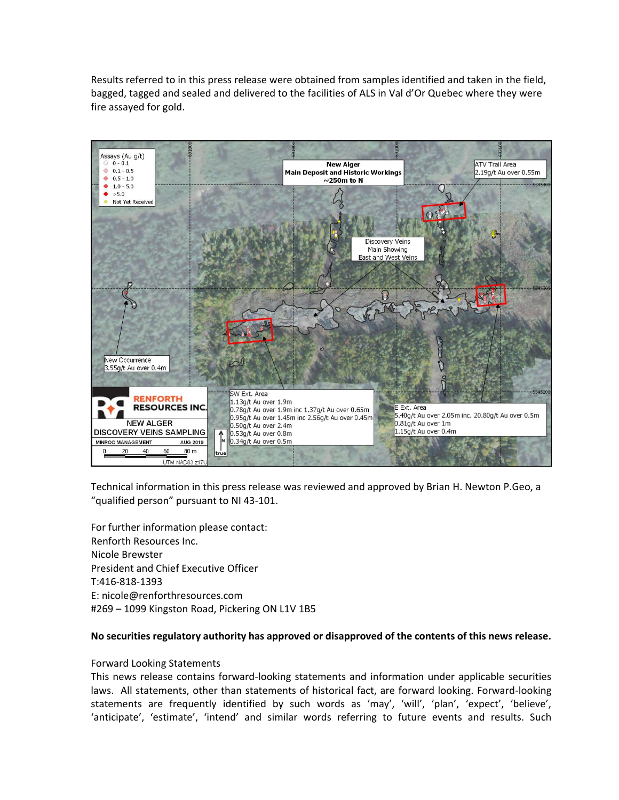Results referred to in this press release were obtained from samples identified and taken in the field, bagged, tagged and sealed and delivered to the facilities of ALS in Val d'Or Quebec where they were fire assayed for gold.



Technical information in this press release was reviewed and approved by Brian H. Newton P.Geo, a "qualified person" pursuant to NI 43-101.

For further information please contact: Renforth Resources Inc. Nicole Brewster President and Chief Executive Officer T:416-818-1393 E: nicole@renforthresources.com #269 – 1099 Kingston Road, Pickering ON L1V 1B5

## **No securities regulatory authority has approved or disapproved of the contents of this news release.**

## Forward Looking Statements

This news release contains forward-looking statements and information under applicable securities laws. All statements, other than statements of historical fact, are forward looking. Forward-looking statements are frequently identified by such words as 'may', 'will', 'plan', 'expect', 'believe', 'anticipate', 'estimate', 'intend' and similar words referring to future events and results. Such